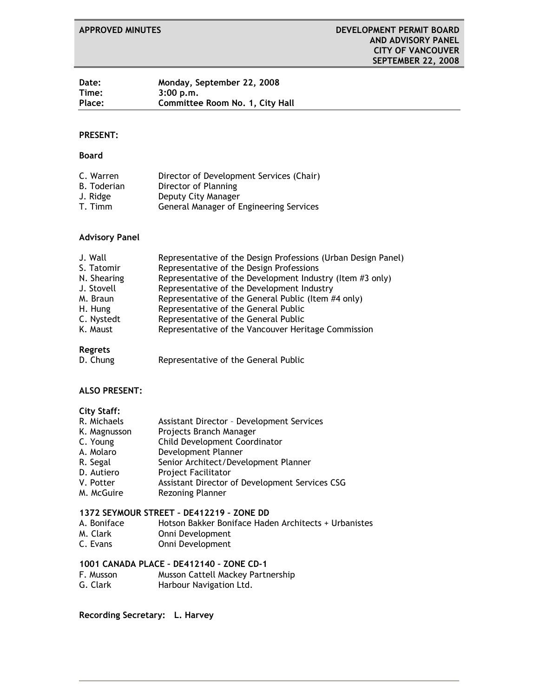| Date:         | Monday, September 22, 2008      |
|---------------|---------------------------------|
| Time:         | 3:00 p.m.                       |
| <b>Place:</b> | Committee Room No. 1, City Hall |

#### **PRESENT:**

#### **Board**

| C. Warren          | Director of Development Services (Chair) |
|--------------------|------------------------------------------|
| <b>B.</b> Toderian | Director of Planning                     |
| J. Ridge           | Deputy City Manager                      |
| T. Timm            | General Manager of Engineering Services  |

#### **Advisory Panel**

| J. Wall     | Representative of the Design Professions (Urban Design Panel) |
|-------------|---------------------------------------------------------------|
| S. Tatomir  | Representative of the Design Professions                      |
| N. Shearing | Representative of the Development Industry (Item #3 only)     |
| J. Stovell  | Representative of the Development Industry                    |
| M. Braun    | Representative of the General Public (Item #4 only)           |
| H. Hung     | Representative of the General Public                          |
| C. Nystedt  | Representative of the General Public                          |
| K. Maust    | Representative of the Vancouver Heritage Commission           |
|             |                                                               |

# **Regrets**

D. Chung Representative of the General Public

#### **ALSO PRESENT:**

#### **City Staff:**

| R. Michaels  | <b>Assistant Director - Development Services</b> |
|--------------|--------------------------------------------------|
| K. Magnusson | Projects Branch Manager                          |
| C. Young     | Child Development Coordinator                    |
| A. Molaro    | Development Planner                              |
| R. Segal     | Senior Architect/Development Planner             |
| D. Autiero   | <b>Project Facilitator</b>                       |
| V. Potter    | Assistant Director of Development Services CSG   |
| M. McGuire   | <b>Rezoning Planner</b>                          |

#### **1372 SEYMOUR STREET – DE412219 – ZONE DD**

- A. Boniface Hotson Bakker Boniface Haden Architects + Urbanistes<br>M. Clark Onni Development M. Clark<br>C. Evans
- Onni Development

# **1001 CANADA PLACE – DE412140 – ZONE CD-1**

- Musson Cattell Mackey Partnership
- G. Clark Harbour Navigation Ltd.

#### **Recording Secretary: L. Harvey**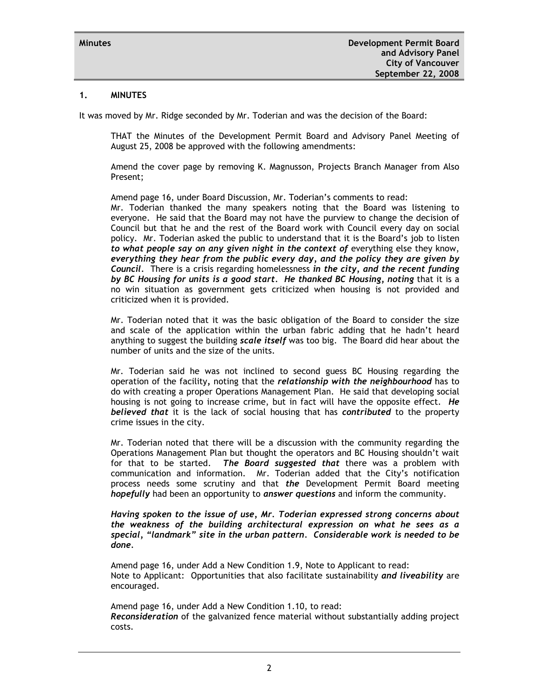#### **1. MINUTES**

It was moved by Mr. Ridge seconded by Mr. Toderian and was the decision of the Board:

THAT the Minutes of the Development Permit Board and Advisory Panel Meeting of August 25, 2008 be approved with the following amendments:

Amend the cover page by removing K. Magnusson, Projects Branch Manager from Also Present;

Amend page 16, under Board Discussion, Mr. Toderian's comments to read: Mr. Toderian thanked the many speakers noting that the Board was listening to everyone. He said that the Board may not have the purview to change the decision of Council but that he and the rest of the Board work with Council every day on social policy. Mr. Toderian asked the public to understand that it is the Board's job to listen *to what people say on any given night in the context of* everything else they know, *everything they hear from the public every day, and the policy they are given by Council.* There is a crisis regarding homelessness *in the city, and the recent funding by BC Housing for units is a good start. He thanked BC Housing, noting* that it is a no win situation as government gets criticized when housing is not provided and criticized when it is provided.

Mr. Toderian noted that it was the basic obligation of the Board to consider the size and scale of the application within the urban fabric adding that he hadn't heard anything to suggest the building *scale itself* was too big. The Board did hear about the number of units and the size of the units.

Mr. Toderian said he was not inclined to second guess BC Housing regarding the operation of the facility*,* noting that the *relationship with the neighbourhood* has to do with creating a proper Operations Management Plan. He said that developing social housing is not going to increase crime, but in fact will have the opposite effect. *He believed that* it is the lack of social housing that has *contributed* to the property crime issues in the city.

Mr. Toderian noted that there will be a discussion with the community regarding the Operations Management Plan but thought the operators and BC Housing shouldn't wait for that to be started. *The Board suggested that* there was a problem with communication and information. Mr. Toderian added that the City's notification process needs some scrutiny and that *the* Development Permit Board meeting *hopefully* had been an opportunity to *answer questions* and inform the community.

*Having spoken to the issue of use, Mr. Toderian expressed strong concerns about the weakness of the building architectural expression on what he sees as a special, "landmark" site in the urban pattern. Considerable work is needed to be done.*

Amend page 16, under Add a New Condition 1.9, Note to Applicant to read: Note to Applicant: Opportunities that also facilitate sustainability *and liveability* are encouraged.

Amend page 16, under Add a New Condition 1.10, to read: *Reconsideration* of the galvanized fence material without substantially adding project costs.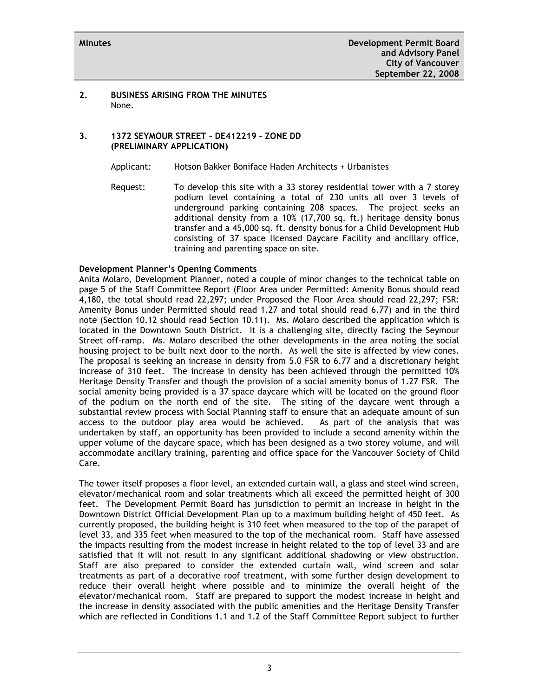#### **2. BUSINESS ARISING FROM THE MINUTES** None.

# **3. 1372 SEYMOUR STREET – DE412219 – ZONE DD (PRELIMINARY APPLICATION)**

Applicant: Hotson Bakker Boniface Haden Architects + Urbanistes

Request: To develop this site with a 33 storey residential tower with a 7 storey podium level containing a total of 230 units all over 3 levels of underground parking containing 208 spaces. The project seeks an additional density from a 10% (17,700 sq. ft.) heritage density bonus transfer and a 45,000 sq. ft. density bonus for a Child Development Hub consisting of 37 space licensed Daycare Facility and ancillary office, training and parenting space on site.

#### **Development Planner's Opening Comments**

Anita Molaro, Development Planner, noted a couple of minor changes to the technical table on page 5 of the Staff Committee Report (Floor Area under Permitted: Amenity Bonus should read 4,180, the total should read 22,297; under Proposed the Floor Area should read 22,297; FSR: Amenity Bonus under Permitted should read 1.27 and total should read 6.77) and in the third note (Section 10.12 should read Section 10.11). Ms. Molaro described the application which is located in the Downtown South District. It is a challenging site, directly facing the Seymour Street off-ramp. Ms. Molaro described the other developments in the area noting the social housing project to be built next door to the north. As well the site is affected by view cones. The proposal is seeking an increase in density from 5.0 FSR to 6.77 and a discretionary height increase of 310 feet. The increase in density has been achieved through the permitted 10% Heritage Density Transfer and though the provision of a social amenity bonus of 1.27 FSR. The social amenity being provided is a 37 space daycare which will be located on the ground floor of the podium on the north end of the site. The siting of the daycare went through a substantial review process with Social Planning staff to ensure that an adequate amount of sun access to the outdoor play area would be achieved. As part of the analysis that was undertaken by staff, an opportunity has been provided to include a second amenity within the upper volume of the daycare space, which has been designed as a two storey volume, and will accommodate ancillary training, parenting and office space for the Vancouver Society of Child Care.

The tower itself proposes a floor level, an extended curtain wall, a glass and steel wind screen, elevator/mechanical room and solar treatments which all exceed the permitted height of 300 feet. The Development Permit Board has jurisdiction to permit an increase in height in the Downtown District Official Development Plan up to a maximum building height of 450 feet. As currently proposed, the building height is 310 feet when measured to the top of the parapet of level 33, and 335 feet when measured to the top of the mechanical room. Staff have assessed the impacts resulting from the modest increase in height related to the top of level 33 and are satisfied that it will not result in any significant additional shadowing or view obstruction. Staff are also prepared to consider the extended curtain wall, wind screen and solar treatments as part of a decorative roof treatment, with some further design development to reduce their overall height where possible and to minimize the overall height of the elevator/mechanical room. Staff are prepared to support the modest increase in height and the increase in density associated with the public amenities and the Heritage Density Transfer which are reflected in Conditions 1.1 and 1.2 of the Staff Committee Report subject to further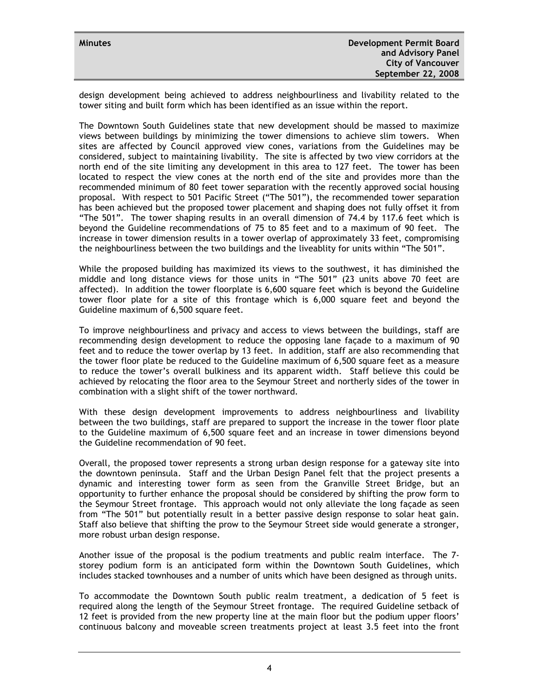| <b>Minutes</b> | Development Permit Board<br>and Advisory Panel |
|----------------|------------------------------------------------|
|                | <b>City of Vancouver</b>                       |
|                | September 22, 2008                             |

design development being achieved to address neighbourliness and livability related to the tower siting and built form which has been identified as an issue within the report.

The Downtown South Guidelines state that new development should be massed to maximize views between buildings by minimizing the tower dimensions to achieve slim towers. When sites are affected by Council approved view cones, variations from the Guidelines may be considered, subject to maintaining livability. The site is affected by two view corridors at the north end of the site limiting any development in this area to 127 feet. The tower has been located to respect the view cones at the north end of the site and provides more than the recommended minimum of 80 feet tower separation with the recently approved social housing proposal. With respect to 501 Pacific Street ("The 501"), the recommended tower separation has been achieved but the proposed tower placement and shaping does not fully offset it from "The 501". The tower shaping results in an overall dimension of 74.4 by 117.6 feet which is beyond the Guideline recommendations of 75 to 85 feet and to a maximum of 90 feet. The increase in tower dimension results in a tower overlap of approximately 33 feet, compromising the neighbourliness between the two buildings and the liveablity for units within "The 501".

While the proposed building has maximized its views to the southwest, it has diminished the middle and long distance views for those units in "The 501" (23 units above 70 feet are affected). In addition the tower floorplate is 6,600 square feet which is beyond the Guideline tower floor plate for a site of this frontage which is 6,000 square feet and beyond the Guideline maximum of 6,500 square feet.

To improve neighbourliness and privacy and access to views between the buildings, staff are recommending design development to reduce the opposing lane façade to a maximum of 90 feet and to reduce the tower overlap by 13 feet. In addition, staff are also recommending that the tower floor plate be reduced to the Guideline maximum of 6,500 square feet as a measure to reduce the tower's overall bulkiness and its apparent width. Staff believe this could be achieved by relocating the floor area to the Seymour Street and northerly sides of the tower in combination with a slight shift of the tower northward.

With these design development improvements to address neighbourliness and livability between the two buildings, staff are prepared to support the increase in the tower floor plate to the Guideline maximum of 6,500 square feet and an increase in tower dimensions beyond the Guideline recommendation of 90 feet.

Overall, the proposed tower represents a strong urban design response for a gateway site into the downtown peninsula. Staff and the Urban Design Panel felt that the project presents a dynamic and interesting tower form as seen from the Granville Street Bridge, but an opportunity to further enhance the proposal should be considered by shifting the prow form to the Seymour Street frontage. This approach would not only alleviate the long façade as seen from "The 501" but potentially result in a better passive design response to solar heat gain. Staff also believe that shifting the prow to the Seymour Street side would generate a stronger, more robust urban design response.

Another issue of the proposal is the podium treatments and public realm interface. The 7 storey podium form is an anticipated form within the Downtown South Guidelines, which includes stacked townhouses and a number of units which have been designed as through units.

To accommodate the Downtown South public realm treatment, a dedication of 5 feet is required along the length of the Seymour Street frontage. The required Guideline setback of 12 feet is provided from the new property line at the main floor but the podium upper floors' continuous balcony and moveable screen treatments project at least 3.5 feet into the front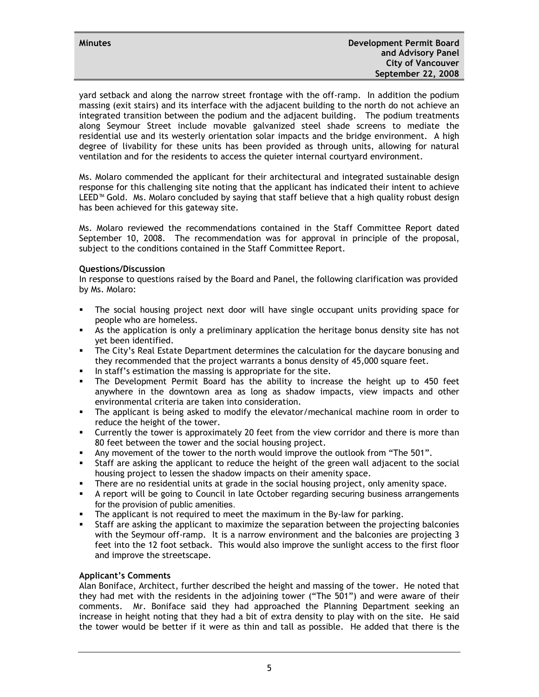yard setback and along the narrow street frontage with the off-ramp. In addition the podium massing (exit stairs) and its interface with the adjacent building to the north do not achieve an integrated transition between the podium and the adjacent building. The podium treatments along Seymour Street include movable galvanized steel shade screens to mediate the residential use and its westerly orientation solar impacts and the bridge environment. A high degree of livability for these units has been provided as through units, allowing for natural ventilation and for the residents to access the quieter internal courtyard environment.

Ms. Molaro commended the applicant for their architectural and integrated sustainable design response for this challenging site noting that the applicant has indicated their intent to achieve LEED™ Gold. Ms. Molaro concluded by saying that staff believe that a high quality robust design has been achieved for this gateway site.

Ms. Molaro reviewed the recommendations contained in the Staff Committee Report dated September 10, 2008. The recommendation was for approval in principle of the proposal, subject to the conditions contained in the Staff Committee Report.

# **Questions/Discussion**

In response to questions raised by the Board and Panel, the following clarification was provided by Ms. Molaro:

- The social housing project next door will have single occupant units providing space for people who are homeless.
- As the application is only a preliminary application the heritage bonus density site has not yet been identified.
- The City's Real Estate Department determines the calculation for the daycare bonusing and they recommended that the project warrants a bonus density of 45,000 square feet.
- In staff's estimation the massing is appropriate for the site.
- The Development Permit Board has the ability to increase the height up to 450 feet anywhere in the downtown area as long as shadow impacts, view impacts and other environmental criteria are taken into consideration.
- The applicant is being asked to modify the elevator/mechanical machine room in order to reduce the height of the tower.
- Currently the tower is approximately 20 feet from the view corridor and there is more than 80 feet between the tower and the social housing project.
- Any movement of the tower to the north would improve the outlook from "The 501".
- Staff are asking the applicant to reduce the height of the green wall adjacent to the social housing project to lessen the shadow impacts on their amenity space.
- There are no residential units at grade in the social housing project, only amenity space.
- A report will be going to Council in late October regarding securing business arrangements for the provision of public amenities.
- The applicant is not required to meet the maximum in the By-law for parking.
- Staff are asking the applicant to maximize the separation between the projecting balconies with the Seymour off-ramp. It is a narrow environment and the balconies are projecting 3 feet into the 12 foot setback. This would also improve the sunlight access to the first floor and improve the streetscape.

# **Applicant's Comments**

Alan Boniface, Architect, further described the height and massing of the tower. He noted that they had met with the residents in the adjoining tower ("The 501") and were aware of their comments. Mr. Boniface said they had approached the Planning Department seeking an increase in height noting that they had a bit of extra density to play with on the site. He said the tower would be better if it were as thin and tall as possible. He added that there is the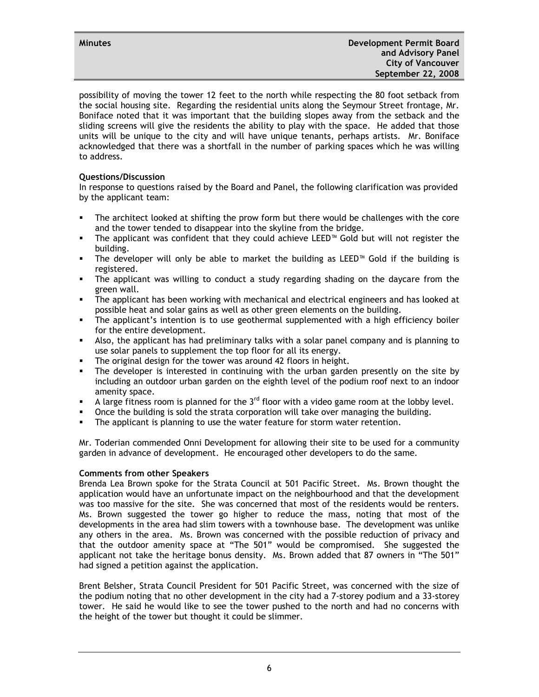possibility of moving the tower 12 feet to the north while respecting the 80 foot setback from the social housing site. Regarding the residential units along the Seymour Street frontage, Mr. Boniface noted that it was important that the building slopes away from the setback and the sliding screens will give the residents the ability to play with the space. He added that those units will be unique to the city and will have unique tenants, perhaps artists. Mr. Boniface acknowledged that there was a shortfall in the number of parking spaces which he was willing to address.

# **Questions/Discussion**

In response to questions raised by the Board and Panel, the following clarification was provided by the applicant team:

- The architect looked at shifting the prow form but there would be challenges with the core and the tower tended to disappear into the skyline from the bridge.
- The applicant was confident that they could achieve LEED<sup>™</sup> Gold but will not register the building.
- The developer will only be able to market the building as LEED<sup>™</sup> Gold if the building is registered.
- The applicant was willing to conduct a study regarding shading on the daycare from the green wall.
- The applicant has been working with mechanical and electrical engineers and has looked at possible heat and solar gains as well as other green elements on the building.
- The applicant's intention is to use geothermal supplemented with a high efficiency boiler for the entire development.
- Also, the applicant has had preliminary talks with a solar panel company and is planning to use solar panels to supplement the top floor for all its energy.
- **The original design for the tower was around 42 floors in height.**
- The developer is interested in continuing with the urban garden presently on the site by including an outdoor urban garden on the eighth level of the podium roof next to an indoor amenity space.
- A large fitness room is planned for the  $3<sup>rd</sup>$  floor with a video game room at the lobby level.
- Once the building is sold the strata corporation will take over managing the building.
- The applicant is planning to use the water feature for storm water retention.

Mr. Toderian commended Onni Development for allowing their site to be used for a community garden in advance of development. He encouraged other developers to do the same.

# **Comments from other Speakers**

Brenda Lea Brown spoke for the Strata Council at 501 Pacific Street. Ms. Brown thought the application would have an unfortunate impact on the neighbourhood and that the development was too massive for the site. She was concerned that most of the residents would be renters. Ms. Brown suggested the tower go higher to reduce the mass, noting that most of the developments in the area had slim towers with a townhouse base. The development was unlike any others in the area. Ms. Brown was concerned with the possible reduction of privacy and that the outdoor amenity space at "The 501" would be compromised. She suggested the applicant not take the heritage bonus density. Ms. Brown added that 87 owners in "The 501" had signed a petition against the application.

Brent Belsher, Strata Council President for 501 Pacific Street, was concerned with the size of the podium noting that no other development in the city had a 7-storey podium and a 33-storey tower. He said he would like to see the tower pushed to the north and had no concerns with the height of the tower but thought it could be slimmer.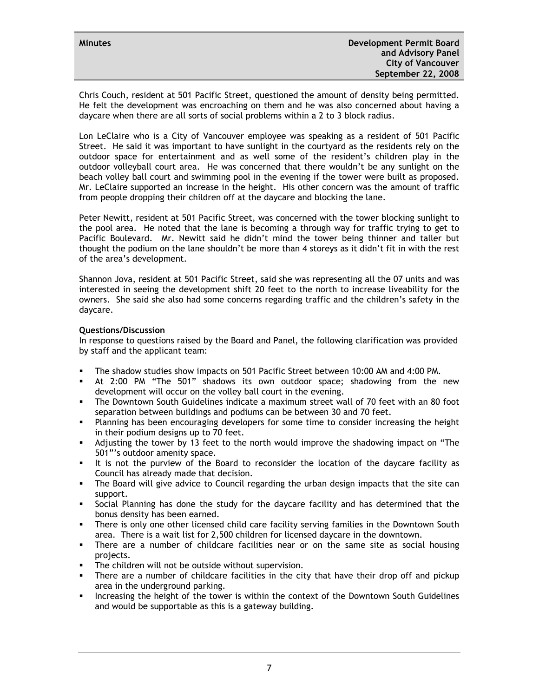Chris Couch, resident at 501 Pacific Street, questioned the amount of density being permitted. He felt the development was encroaching on them and he was also concerned about having a daycare when there are all sorts of social problems within a 2 to 3 block radius.

Lon LeClaire who is a City of Vancouver employee was speaking as a resident of 501 Pacific Street. He said it was important to have sunlight in the courtyard as the residents rely on the outdoor space for entertainment and as well some of the resident's children play in the outdoor volleyball court area. He was concerned that there wouldn't be any sunlight on the beach volley ball court and swimming pool in the evening if the tower were built as proposed. Mr. LeClaire supported an increase in the height. His other concern was the amount of traffic from people dropping their children off at the daycare and blocking the lane.

Peter Newitt, resident at 501 Pacific Street, was concerned with the tower blocking sunlight to the pool area. He noted that the lane is becoming a through way for traffic trying to get to Pacific Boulevard. Mr. Newitt said he didn't mind the tower being thinner and taller but thought the podium on the lane shouldn't be more than 4 storeys as it didn't fit in with the rest of the area's development.

Shannon Jova, resident at 501 Pacific Street, said she was representing all the 07 units and was interested in seeing the development shift 20 feet to the north to increase liveability for the owners. She said she also had some concerns regarding traffic and the children's safety in the daycare.

# **Questions/Discussion**

In response to questions raised by the Board and Panel, the following clarification was provided by staff and the applicant team:

- The shadow studies show impacts on 501 Pacific Street between 10:00 AM and 4:00 PM.
- At 2:00 PM "The 501" shadows its own outdoor space; shadowing from the new development will occur on the volley ball court in the evening.
- The Downtown South Guidelines indicate a maximum street wall of 70 feet with an 80 foot separation between buildings and podiums can be between 30 and 70 feet.
- Planning has been encouraging developers for some time to consider increasing the height in their podium designs up to 70 feet.
- Adjusting the tower by 13 feet to the north would improve the shadowing impact on "The 501"'s outdoor amenity space.
- It is not the purview of the Board to reconsider the location of the daycare facility as Council has already made that decision.
- The Board will give advice to Council regarding the urban design impacts that the site can support.
- Social Planning has done the study for the daycare facility and has determined that the bonus density has been earned.
- There is only one other licensed child care facility serving families in the Downtown South area. There is a wait list for 2,500 children for licensed daycare in the downtown.
- There are a number of childcare facilities near or on the same site as social housing projects.
- **The children will not be outside without supervision.**
- There are a number of childcare facilities in the city that have their drop off and pickup area in the underground parking.
- **Increasing the height of the tower is within the context of the Downtown South Guidelines** and would be supportable as this is a gateway building.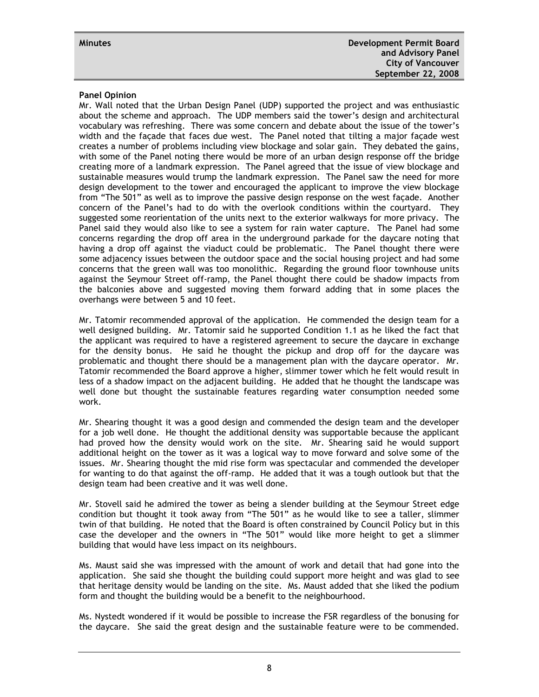# **Panel Opinion**

Mr. Wall noted that the Urban Design Panel (UDP) supported the project and was enthusiastic about the scheme and approach. The UDP members said the tower's design and architectural vocabulary was refreshing. There was some concern and debate about the issue of the tower's width and the façade that faces due west. The Panel noted that tilting a major façade west creates a number of problems including view blockage and solar gain. They debated the gains, with some of the Panel noting there would be more of an urban design response off the bridge creating more of a landmark expression. The Panel agreed that the issue of view blockage and sustainable measures would trump the landmark expression. The Panel saw the need for more design development to the tower and encouraged the applicant to improve the view blockage from "The 501" as well as to improve the passive design response on the west façade. Another concern of the Panel's had to do with the overlook conditions within the courtyard. They suggested some reorientation of the units next to the exterior walkways for more privacy. The Panel said they would also like to see a system for rain water capture. The Panel had some concerns regarding the drop off area in the underground parkade for the daycare noting that having a drop off against the viaduct could be problematic. The Panel thought there were some adjacency issues between the outdoor space and the social housing project and had some concerns that the green wall was too monolithic. Regarding the ground floor townhouse units against the Seymour Street off-ramp, the Panel thought there could be shadow impacts from the balconies above and suggested moving them forward adding that in some places the overhangs were between 5 and 10 feet.

Mr. Tatomir recommended approval of the application. He commended the design team for a well designed building. Mr. Tatomir said he supported Condition 1.1 as he liked the fact that the applicant was required to have a registered agreement to secure the daycare in exchange for the density bonus. He said he thought the pickup and drop off for the daycare was problematic and thought there should be a management plan with the daycare operator. Mr. Tatomir recommended the Board approve a higher, slimmer tower which he felt would result in less of a shadow impact on the adjacent building. He added that he thought the landscape was well done but thought the sustainable features regarding water consumption needed some work.

Mr. Shearing thought it was a good design and commended the design team and the developer for a job well done. He thought the additional density was supportable because the applicant had proved how the density would work on the site. Mr. Shearing said he would support additional height on the tower as it was a logical way to move forward and solve some of the issues. Mr. Shearing thought the mid rise form was spectacular and commended the developer for wanting to do that against the off-ramp. He added that it was a tough outlook but that the design team had been creative and it was well done.

Mr. Stovell said he admired the tower as being a slender building at the Seymour Street edge condition but thought it took away from "The 501" as he would like to see a taller, slimmer twin of that building. He noted that the Board is often constrained by Council Policy but in this case the developer and the owners in "The 501" would like more height to get a slimmer building that would have less impact on its neighbours.

Ms. Maust said she was impressed with the amount of work and detail that had gone into the application. She said she thought the building could support more height and was glad to see that heritage density would be landing on the site. Ms. Maust added that she liked the podium form and thought the building would be a benefit to the neighbourhood.

Ms. Nystedt wondered if it would be possible to increase the FSR regardless of the bonusing for the daycare. She said the great design and the sustainable feature were to be commended.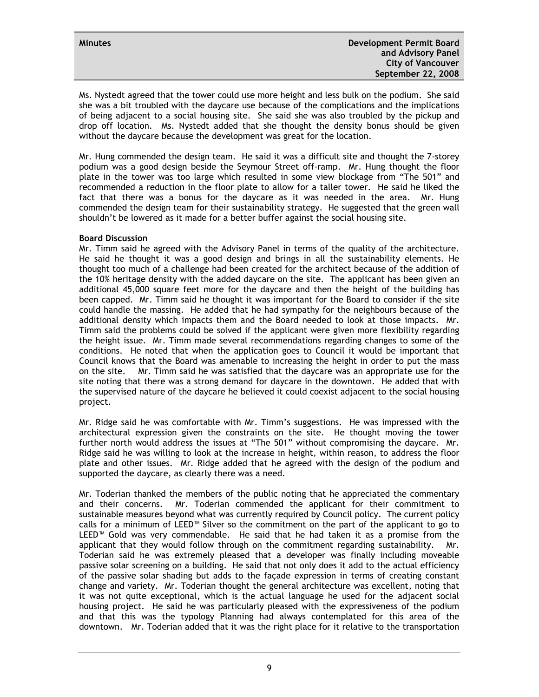Ms. Nystedt agreed that the tower could use more height and less bulk on the podium. She said she was a bit troubled with the daycare use because of the complications and the implications of being adjacent to a social housing site. She said she was also troubled by the pickup and drop off location. Ms. Nystedt added that she thought the density bonus should be given without the daycare because the development was great for the location.

Mr. Hung commended the design team. He said it was a difficult site and thought the 7-storey podium was a good design beside the Seymour Street off-ramp. Mr. Hung thought the floor plate in the tower was too large which resulted in some view blockage from "The 501" and recommended a reduction in the floor plate to allow for a taller tower. He said he liked the fact that there was a bonus for the daycare as it was needed in the area. Mr. Hung commended the design team for their sustainability strategy. He suggested that the green wall shouldn't be lowered as it made for a better buffer against the social housing site.

# **Board Discussion**

Mr. Timm said he agreed with the Advisory Panel in terms of the quality of the architecture. He said he thought it was a good design and brings in all the sustainability elements. He thought too much of a challenge had been created for the architect because of the addition of the 10% heritage density with the added daycare on the site. The applicant has been given an additional 45,000 square feet more for the daycare and then the height of the building has been capped. Mr. Timm said he thought it was important for the Board to consider if the site could handle the massing. He added that he had sympathy for the neighbours because of the additional density which impacts them and the Board needed to look at those impacts. Mr. Timm said the problems could be solved if the applicant were given more flexibility regarding the height issue. Mr. Timm made several recommendations regarding changes to some of the conditions. He noted that when the application goes to Council it would be important that Council knows that the Board was amenable to increasing the height in order to put the mass on the site. Mr. Timm said he was satisfied that the daycare was an appropriate use for the site noting that there was a strong demand for daycare in the downtown. He added that with the supervised nature of the daycare he believed it could coexist adjacent to the social housing project.

Mr. Ridge said he was comfortable with Mr. Timm's suggestions. He was impressed with the architectural expression given the constraints on the site. He thought moving the tower further north would address the issues at "The 501" without compromising the daycare. Mr. Ridge said he was willing to look at the increase in height, within reason, to address the floor plate and other issues. Mr. Ridge added that he agreed with the design of the podium and supported the daycare, as clearly there was a need.

Mr. Toderian thanked the members of the public noting that he appreciated the commentary and their concerns. Mr. Toderian commended the applicant for their commitment to sustainable measures beyond what was currently required by Council policy. The current policy calls for a minimum of LEED™ Silver so the commitment on the part of the applicant to go to LEED™ Gold was very commendable. He said that he had taken it as a promise from the applicant that they would follow through on the commitment regarding sustainability. Mr. Toderian said he was extremely pleased that a developer was finally including moveable passive solar screening on a building. He said that not only does it add to the actual efficiency of the passive solar shading but adds to the façade expression in terms of creating constant change and variety. Mr. Toderian thought the general architecture was excellent, noting that it was not quite exceptional, which is the actual language he used for the adjacent social housing project. He said he was particularly pleased with the expressiveness of the podium and that this was the typology Planning had always contemplated for this area of the downtown. Mr. Toderian added that it was the right place for it relative to the transportation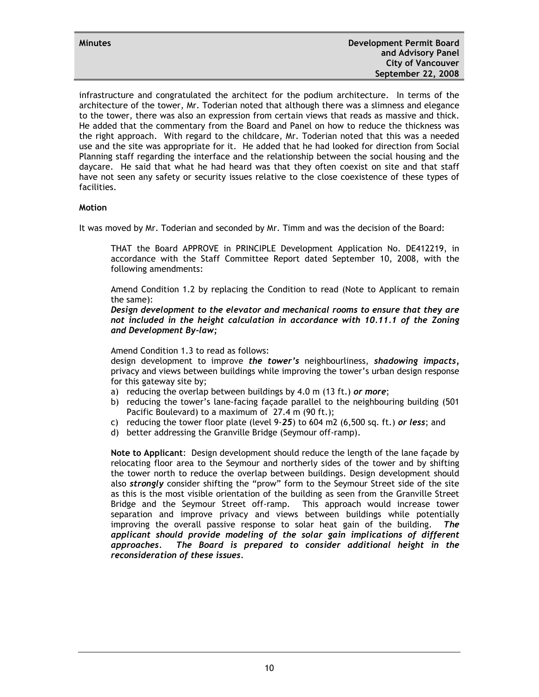infrastructure and congratulated the architect for the podium architecture. In terms of the architecture of the tower, Mr. Toderian noted that although there was a slimness and elegance to the tower, there was also an expression from certain views that reads as massive and thick. He added that the commentary from the Board and Panel on how to reduce the thickness was the right approach. With regard to the childcare, Mr. Toderian noted that this was a needed use and the site was appropriate for it. He added that he had looked for direction from Social Planning staff regarding the interface and the relationship between the social housing and the daycare. He said that what he had heard was that they often coexist on site and that staff have not seen any safety or security issues relative to the close coexistence of these types of facilities.

#### **Motion**

It was moved by Mr. Toderian and seconded by Mr. Timm and was the decision of the Board:

THAT the Board APPROVE in PRINCIPLE Development Application No. DE412219, in accordance with the Staff Committee Report dated September 10, 2008, with the following amendments:

Amend Condition 1.2 by replacing the Condition to read (Note to Applicant to remain the same):

*Design development to the elevator and mechanical rooms to ensure that they are not included in the height calculation in accordance with 10.11.1 of the Zoning and Development By-law;* 

Amend Condition 1.3 to read as follows:

design development to improve *the tower's* neighbourliness, *shadowing impacts,*  privacy and views between buildings while improving the tower's urban design response for this gateway site by;

- a) reducing the overlap between buildings by 4.0 m (13 ft.) *or more*;
- b) reducing the tower's lane-facing façade parallel to the neighbouring building (501 Pacific Boulevard) to a maximum of 27.4 m (90 ft.);
- c) reducing the tower floor plate (level 9-*25*) to 604 m2 (6,500 sq. ft.) *or less*; and
- d) better addressing the Granville Bridge (Seymour off-ramp).

**Note to Applicant**: Design development should reduce the length of the lane façade by relocating floor area to the Seymour and northerly sides of the tower and by shifting the tower north to reduce the overlap between buildings. Design development should also *strongly* consider shifting the "prow" form to the Seymour Street side of the site as this is the most visible orientation of the building as seen from the Granville Street Bridge and the Seymour Street off-ramp. This approach would increase tower separation and improve privacy and views between buildings while potentially improving the overall passive response to solar heat gain of the building. *The applicant should provide modeling of the solar gain implications of different approaches. The Board is prepared to consider additional height in the reconsideration of these issues.*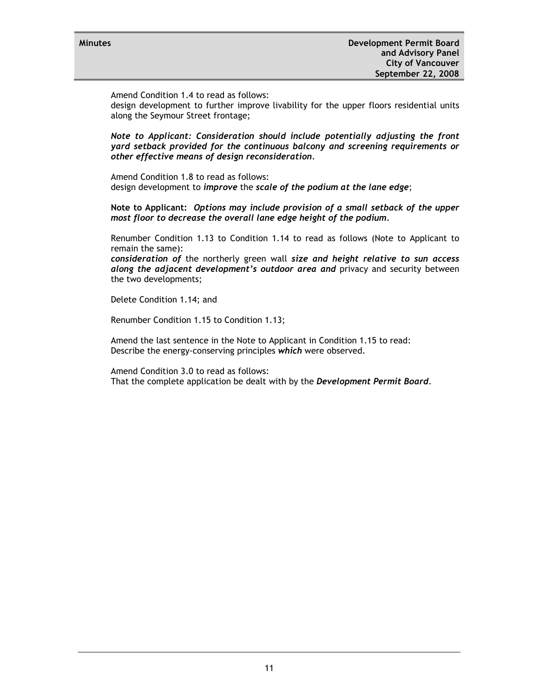Amend Condition 1.4 to read as follows:

design development to further improve livability for the upper floors residential units along the Seymour Street frontage;

*Note to Applicant: Consideration should include potentially adjusting the front yard setback provided for the continuous balcony and screening requirements or other effective means of design reconsideration.* 

Amend Condition 1.8 to read as follows: design development to *improve* the *scale of the podium at the lane edge*;

**Note to Applicant:** *Options may include provision of a small setback of the upper most floor to decrease the overall lane edge height of the podium.* 

Renumber Condition 1.13 to Condition 1.14 to read as follows (Note to Applicant to remain the same):

*consideration of* the northerly green wall *size and height relative to sun access along the adjacent development's outdoor area and* privacy and security between the two developments;

Delete Condition 1.14; and

Renumber Condition 1.15 to Condition 1.13;

Amend the last sentence in the Note to Applicant in Condition 1.15 to read: Describe the energy-conserving principles *which* were observed.

Amend Condition 3.0 to read as follows:

That the complete application be dealt with by the *Development Permit Board*.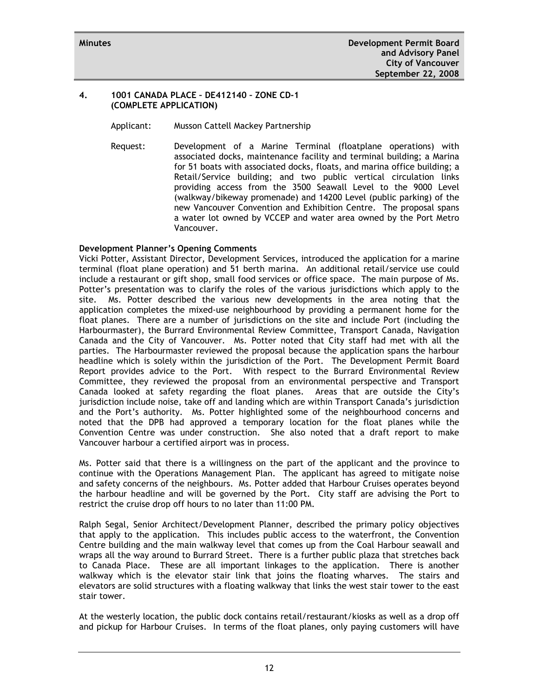# **4. 1001 CANADA PLACE – DE412140 – ZONE CD-1 (COMPLETE APPLICATION)**

Applicant: Musson Cattell Mackey Partnership

Request: Development of a Marine Terminal (floatplane operations) with associated docks, maintenance facility and terminal building; a Marina for 51 boats with associated docks, floats, and marina office building; a Retail/Service building; and two public vertical circulation links providing access from the 3500 Seawall Level to the 9000 Level (walkway/bikeway promenade) and 14200 Level (public parking) of the new Vancouver Convention and Exhibition Centre. The proposal spans a water lot owned by VCCEP and water area owned by the Port Metro Vancouver.

# **Development Planner's Opening Comments**

Vicki Potter, Assistant Director, Development Services, introduced the application for a marine terminal (float plane operation) and 51 berth marina. An additional retail/service use could include a restaurant or gift shop, small food services or office space. The main purpose of Ms. Potter's presentation was to clarify the roles of the various jurisdictions which apply to the site. Ms. Potter described the various new developments in the area noting that the application completes the mixed-use neighbourhood by providing a permanent home for the float planes. There are a number of jurisdictions on the site and include Port (including the Harbourmaster), the Burrard Environmental Review Committee, Transport Canada, Navigation Canada and the City of Vancouver. Ms. Potter noted that City staff had met with all the parties. The Harbourmaster reviewed the proposal because the application spans the harbour headline which is solely within the jurisdiction of the Port. The Development Permit Board Report provides advice to the Port. With respect to the Burrard Environmental Review Committee, they reviewed the proposal from an environmental perspective and Transport Canada looked at safety regarding the float planes. Areas that are outside the City's jurisdiction include noise, take off and landing which are within Transport Canada's jurisdiction and the Port's authority. Ms. Potter highlighted some of the neighbourhood concerns and noted that the DPB had approved a temporary location for the float planes while the Convention Centre was under construction. She also noted that a draft report to make Vancouver harbour a certified airport was in process.

Ms. Potter said that there is a willingness on the part of the applicant and the province to continue with the Operations Management Plan. The applicant has agreed to mitigate noise and safety concerns of the neighbours. Ms. Potter added that Harbour Cruises operates beyond the harbour headline and will be governed by the Port. City staff are advising the Port to restrict the cruise drop off hours to no later than 11:00 PM.

Ralph Segal, Senior Architect/Development Planner, described the primary policy objectives that apply to the application. This includes public access to the waterfront, the Convention Centre building and the main walkway level that comes up from the Coal Harbour seawall and wraps all the way around to Burrard Street. There is a further public plaza that stretches back to Canada Place. These are all important linkages to the application. There is another walkway which is the elevator stair link that joins the floating wharves. The stairs and elevators are solid structures with a floating walkway that links the west stair tower to the east stair tower.

At the westerly location, the public dock contains retail/restaurant/kiosks as well as a drop off and pickup for Harbour Cruises. In terms of the float planes, only paying customers will have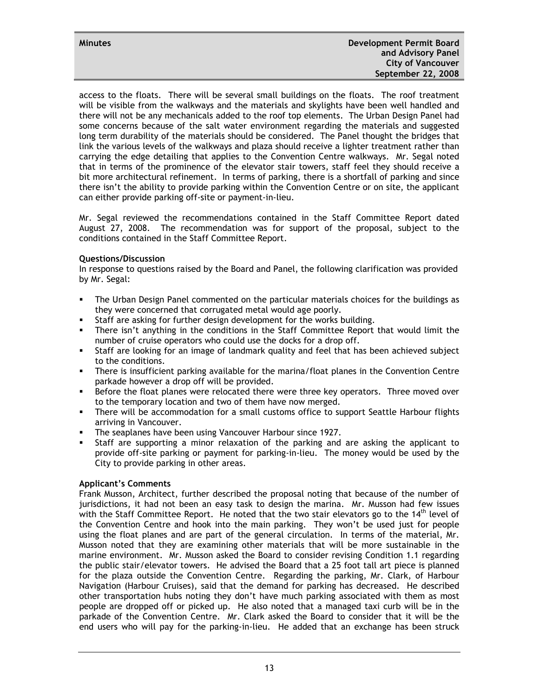access to the floats. There will be several small buildings on the floats. The roof treatment will be visible from the walkways and the materials and skylights have been well handled and there will not be any mechanicals added to the roof top elements. The Urban Design Panel had some concerns because of the salt water environment regarding the materials and suggested long term durability of the materials should be considered. The Panel thought the bridges that link the various levels of the walkways and plaza should receive a lighter treatment rather than carrying the edge detailing that applies to the Convention Centre walkways. Mr. Segal noted that in terms of the prominence of the elevator stair towers, staff feel they should receive a bit more architectural refinement. In terms of parking, there is a shortfall of parking and since there isn't the ability to provide parking within the Convention Centre or on site, the applicant can either provide parking off-site or payment-in-lieu.

Mr. Segal reviewed the recommendations contained in the Staff Committee Report dated August 27, 2008. The recommendation was for support of the proposal, subject to the conditions contained in the Staff Committee Report.

# **Questions/Discussion**

In response to questions raised by the Board and Panel, the following clarification was provided by Mr. Segal:

- The Urban Design Panel commented on the particular materials choices for the buildings as they were concerned that corrugated metal would age poorly.
- Staff are asking for further design development for the works building.
- There isn't anything in the conditions in the Staff Committee Report that would limit the number of cruise operators who could use the docks for a drop off.
- Staff are looking for an image of landmark quality and feel that has been achieved subject to the conditions.
- There is insufficient parking available for the marina/float planes in the Convention Centre parkade however a drop off will be provided.
- **Before the float planes were relocated there were three key operators. Three moved over** to the temporary location and two of them have now merged.
- There will be accommodation for a small customs office to support Seattle Harbour flights arriving in Vancouver.
- The seaplanes have been using Vancouver Harbour since 1927.
- Staff are supporting a minor relaxation of the parking and are asking the applicant to provide off-site parking or payment for parking-in-lieu. The money would be used by the City to provide parking in other areas.

# **Applicant's Comments**

Frank Musson, Architect, further described the proposal noting that because of the number of jurisdictions, it had not been an easy task to design the marina. Mr. Musson had few issues with the Staff Committee Report. He noted that the two stair elevators go to the  $14<sup>th</sup>$  level of the Convention Centre and hook into the main parking. They won't be used just for people using the float planes and are part of the general circulation. In terms of the material, Mr. Musson noted that they are examining other materials that will be more sustainable in the marine environment. Mr. Musson asked the Board to consider revising Condition 1.1 regarding the public stair/elevator towers. He advised the Board that a 25 foot tall art piece is planned for the plaza outside the Convention Centre. Regarding the parking, Mr. Clark, of Harbour Navigation (Harbour Cruises), said that the demand for parking has decreased. He described other transportation hubs noting they don't have much parking associated with them as most people are dropped off or picked up. He also noted that a managed taxi curb will be in the parkade of the Convention Centre. Mr. Clark asked the Board to consider that it will be the end users who will pay for the parking-in-lieu. He added that an exchange has been struck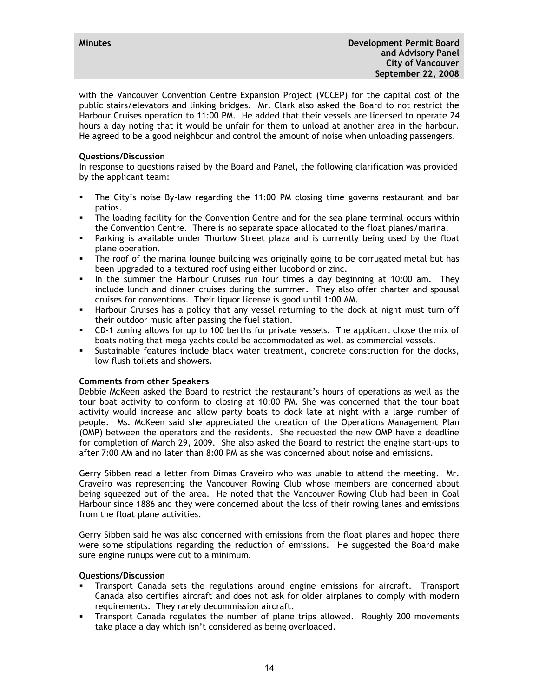with the Vancouver Convention Centre Expansion Project (VCCEP) for the capital cost of the public stairs/elevators and linking bridges. Mr. Clark also asked the Board to not restrict the Harbour Cruises operation to 11:00 PM. He added that their vessels are licensed to operate 24 hours a day noting that it would be unfair for them to unload at another area in the harbour. He agreed to be a good neighbour and control the amount of noise when unloading passengers.

# **Questions/Discussion**

In response to questions raised by the Board and Panel, the following clarification was provided by the applicant team:

- The City's noise By-law regarding the 11:00 PM closing time governs restaurant and bar patios.
- The loading facility for the Convention Centre and for the sea plane terminal occurs within the Convention Centre. There is no separate space allocated to the float planes/marina.
- Parking is available under Thurlow Street plaza and is currently being used by the float plane operation.
- The roof of the marina lounge building was originally going to be corrugated metal but has been upgraded to a textured roof using either lucobond or zinc.
- In the summer the Harbour Cruises run four times a day beginning at 10:00 am. They include lunch and dinner cruises during the summer. They also offer charter and spousal cruises for conventions. Their liquor license is good until 1:00 AM.
- **Harbour Cruises has a policy that any vessel returning to the dock at night must turn off** their outdoor music after passing the fuel station.
- CD-1 zoning allows for up to 100 berths for private vessels. The applicant chose the mix of boats noting that mega yachts could be accommodated as well as commercial vessels.
- Sustainable features include black water treatment, concrete construction for the docks, low flush toilets and showers.

#### **Comments from other Speakers**

Debbie McKeen asked the Board to restrict the restaurant's hours of operations as well as the tour boat activity to conform to closing at 10:00 PM. She was concerned that the tour boat activity would increase and allow party boats to dock late at night with a large number of people. Ms. McKeen said she appreciated the creation of the Operations Management Plan (OMP) between the operators and the residents. She requested the new OMP have a deadline for completion of March 29, 2009. She also asked the Board to restrict the engine start-ups to after 7:00 AM and no later than 8:00 PM as she was concerned about noise and emissions.

Gerry Sibben read a letter from Dimas Craveiro who was unable to attend the meeting. Mr. Craveiro was representing the Vancouver Rowing Club whose members are concerned about being squeezed out of the area. He noted that the Vancouver Rowing Club had been in Coal Harbour since 1886 and they were concerned about the loss of their rowing lanes and emissions from the float plane activities.

Gerry Sibben said he was also concerned with emissions from the float planes and hoped there were some stipulations regarding the reduction of emissions. He suggested the Board make sure engine runups were cut to a minimum.

#### **Questions/Discussion**

- Transport Canada sets the regulations around engine emissions for aircraft. Transport Canada also certifies aircraft and does not ask for older airplanes to comply with modern requirements. They rarely decommission aircraft.
- Transport Canada regulates the number of plane trips allowed. Roughly 200 movements take place a day which isn't considered as being overloaded.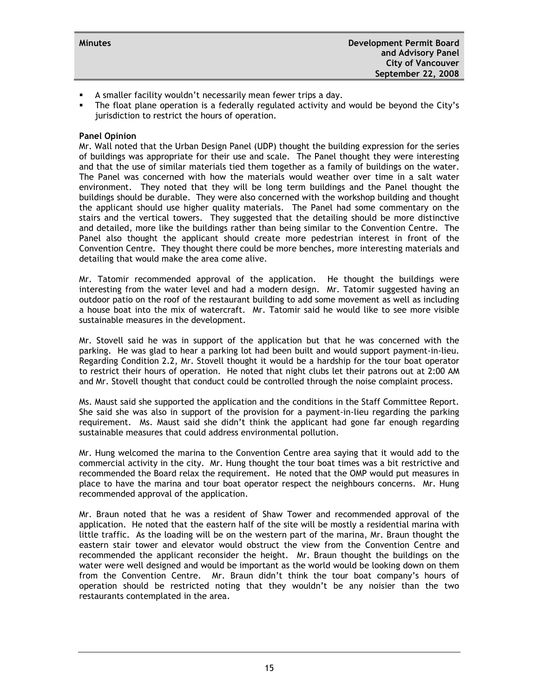- A smaller facility wouldn't necessarily mean fewer trips a day.
- The float plane operation is a federally regulated activity and would be beyond the City's jurisdiction to restrict the hours of operation.

#### **Panel Opinion**

Mr. Wall noted that the Urban Design Panel (UDP) thought the building expression for the series of buildings was appropriate for their use and scale. The Panel thought they were interesting and that the use of similar materials tied them together as a family of buildings on the water. The Panel was concerned with how the materials would weather over time in a salt water environment. They noted that they will be long term buildings and the Panel thought the buildings should be durable. They were also concerned with the workshop building and thought the applicant should use higher quality materials. The Panel had some commentary on the stairs and the vertical towers. They suggested that the detailing should be more distinctive and detailed, more like the buildings rather than being similar to the Convention Centre. The Panel also thought the applicant should create more pedestrian interest in front of the Convention Centre. They thought there could be more benches, more interesting materials and detailing that would make the area come alive.

Mr. Tatomir recommended approval of the application. He thought the buildings were interesting from the water level and had a modern design. Mr. Tatomir suggested having an outdoor patio on the roof of the restaurant building to add some movement as well as including a house boat into the mix of watercraft. Mr. Tatomir said he would like to see more visible sustainable measures in the development.

Mr. Stovell said he was in support of the application but that he was concerned with the parking. He was glad to hear a parking lot had been built and would support payment-in-lieu. Regarding Condition 2.2, Mr. Stovell thought it would be a hardship for the tour boat operator to restrict their hours of operation. He noted that night clubs let their patrons out at 2:00 AM and Mr. Stovell thought that conduct could be controlled through the noise complaint process.

Ms. Maust said she supported the application and the conditions in the Staff Committee Report. She said she was also in support of the provision for a payment-in-lieu regarding the parking requirement. Ms. Maust said she didn't think the applicant had gone far enough regarding sustainable measures that could address environmental pollution.

Mr. Hung welcomed the marina to the Convention Centre area saying that it would add to the commercial activity in the city. Mr. Hung thought the tour boat times was a bit restrictive and recommended the Board relax the requirement. He noted that the OMP would put measures in place to have the marina and tour boat operator respect the neighbours concerns. Mr. Hung recommended approval of the application.

Mr. Braun noted that he was a resident of Shaw Tower and recommended approval of the application. He noted that the eastern half of the site will be mostly a residential marina with little traffic. As the loading will be on the western part of the marina, Mr. Braun thought the eastern stair tower and elevator would obstruct the view from the Convention Centre and recommended the applicant reconsider the height. Mr. Braun thought the buildings on the water were well designed and would be important as the world would be looking down on them from the Convention Centre. Mr. Braun didn't think the tour boat company's hours of operation should be restricted noting that they wouldn't be any noisier than the two restaurants contemplated in the area.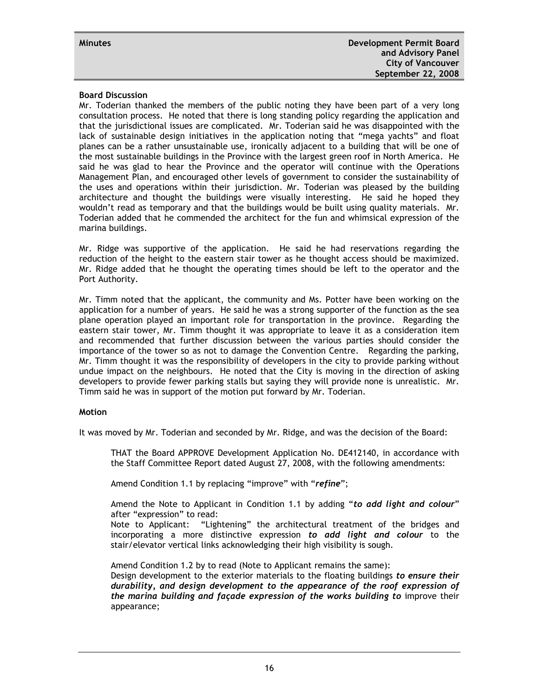#### **Board Discussion**

Mr. Toderian thanked the members of the public noting they have been part of a very long consultation process. He noted that there is long standing policy regarding the application and that the jurisdictional issues are complicated. Mr. Toderian said he was disappointed with the lack of sustainable design initiatives in the application noting that "mega yachts" and float planes can be a rather unsustainable use, ironically adjacent to a building that will be one of the most sustainable buildings in the Province with the largest green roof in North America. He said he was glad to hear the Province and the operator will continue with the Operations Management Plan, and encouraged other levels of government to consider the sustainability of the uses and operations within their jurisdiction. Mr. Toderian was pleased by the building architecture and thought the buildings were visually interesting. He said he hoped they wouldn't read as temporary and that the buildings would be built using quality materials. Mr. Toderian added that he commended the architect for the fun and whimsical expression of the marina buildings.

Mr. Ridge was supportive of the application. He said he had reservations regarding the reduction of the height to the eastern stair tower as he thought access should be maximized. Mr. Ridge added that he thought the operating times should be left to the operator and the Port Authority.

Mr. Timm noted that the applicant, the community and Ms. Potter have been working on the application for a number of years. He said he was a strong supporter of the function as the sea plane operation played an important role for transportation in the province. Regarding the eastern stair tower, Mr. Timm thought it was appropriate to leave it as a consideration item and recommended that further discussion between the various parties should consider the importance of the tower so as not to damage the Convention Centre. Regarding the parking, Mr. Timm thought it was the responsibility of developers in the city to provide parking without undue impact on the neighbours. He noted that the City is moving in the direction of asking developers to provide fewer parking stalls but saying they will provide none is unrealistic. Mr. Timm said he was in support of the motion put forward by Mr. Toderian.

#### **Motion**

It was moved by Mr. Toderian and seconded by Mr. Ridge, and was the decision of the Board:

THAT the Board APPROVE Development Application No. DE412140, in accordance with the Staff Committee Report dated August 27, 2008, with the following amendments:

Amend Condition 1.1 by replacing "improve" with "*refine*";

Amend the Note to Applicant in Condition 1.1 by adding "*to add light and colour*" after "expression" to read:

Note to Applicant: "Lightening" the architectural treatment of the bridges and incorporating a more distinctive expression *to add light and colour* to the stair/elevator vertical links acknowledging their high visibility is sough.

Amend Condition 1.2 by to read (Note to Applicant remains the same):

Design development to the exterior materials to the floating buildings *to ensure their durability, and design development to the appearance of the roof expression of the marina building and façade expression of the works building to* improve their appearance;